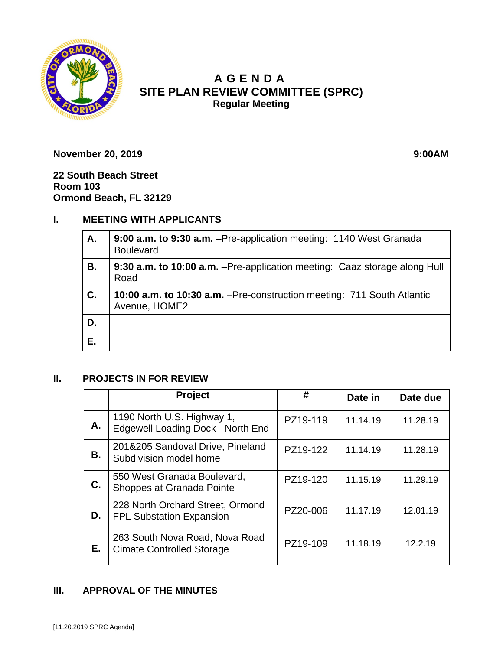

# **A GENDA SITE PLAN REVIEW COMMITTEE (SPRC) Regular Meeting**

**November 20, 2019 9:00AM** 

**22 South Beach Street Room 103 Ormond Beach, FL 32129**

## **I. MEETING WITH APPLICANTS**

| Α. | 9:00 a.m. to 9:30 a.m. - Pre-application meeting: 1140 West Granada<br><b>Boulevard</b>        |  |
|----|------------------------------------------------------------------------------------------------|--|
| В. | 9:30 a.m. to 10:00 a.m. - Pre-application meeting: Caaz storage along Hull<br>Road             |  |
| C. | <b>10:00 a.m. to 10:30 a.m.</b> -Pre-construction meeting: 711 South Atlantic<br>Avenue, HOME2 |  |
| D. |                                                                                                |  |
| Е. |                                                                                                |  |

#### **II. PROJECTS IN FOR REVIEW**

|    | <b>Project</b>                                                         | #        | Date in  | Date due |
|----|------------------------------------------------------------------------|----------|----------|----------|
| А. | 1190 North U.S. Highway 1,<br><b>Edgewell Loading Dock - North End</b> | PZ19-119 | 11.14.19 | 11.28.19 |
| В. | 201&205 Sandoval Drive, Pineland<br>Subdivision model home             | PZ19-122 | 11.14.19 | 11.28.19 |
| С. | 550 West Granada Boulevard,<br>Shoppes at Granada Pointe               | PZ19-120 | 11.15.19 | 11.29.19 |
| D. | 228 North Orchard Street, Ormond<br><b>FPL Substation Expansion</b>    | PZ20-006 | 11.17.19 | 12.01.19 |
| Е. | 263 South Nova Road, Nova Road<br><b>Cimate Controlled Storage</b>     | PZ19-109 | 11.18.19 | 12.2.19  |

#### **III. APPROVAL OF THE MINUTES**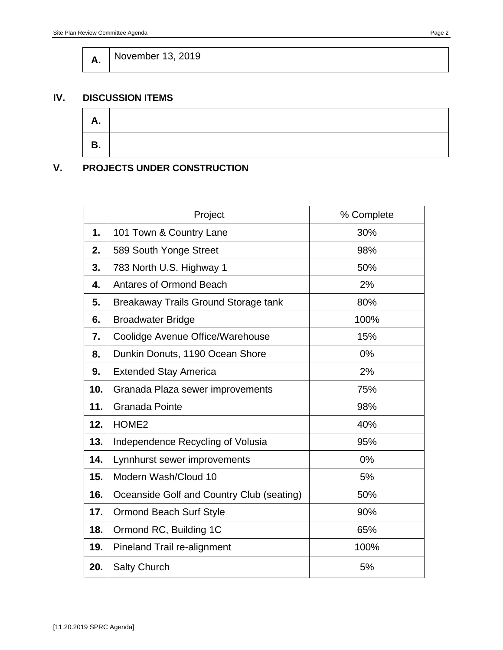**A.** November 13, 2019

#### **IV. DISCUSSION ITEMS**



## **V. PROJECTS UNDER CONSTRUCTION**

|     | Project                                   | % Complete |
|-----|-------------------------------------------|------------|
| 1.  | 101 Town & Country Lane                   | 30%        |
| 2.  | 589 South Yonge Street                    | 98%        |
| 3.  | 783 North U.S. Highway 1                  | 50%        |
| 4.  | <b>Antares of Ormond Beach</b>            | 2%         |
| 5.  | Breakaway Trails Ground Storage tank      | 80%        |
| 6.  | <b>Broadwater Bridge</b>                  | 100%       |
| 7.  | Coolidge Avenue Office/Warehouse          | 15%        |
| 8.  | Dunkin Donuts, 1190 Ocean Shore           | 0%         |
| 9.  | <b>Extended Stay America</b>              | 2%         |
| 10. | Granada Plaza sewer improvements          | 75%        |
| 11. | <b>Granada Pointe</b>                     | 98%        |
| 12. | HOME <sub>2</sub>                         | 40%        |
| 13. | Independence Recycling of Volusia         | 95%        |
| 14. | Lynnhurst sewer improvements              | 0%         |
| 15. | Modern Wash/Cloud 10                      | 5%         |
| 16. | Oceanside Golf and Country Club (seating) | 50%        |
| 17. | <b>Ormond Beach Surf Style</b>            | 90%        |
| 18. | Ormond RC, Building 1C                    | 65%        |
| 19. | Pineland Trail re-alignment               | 100%       |
| 20. | <b>Salty Church</b>                       | 5%         |